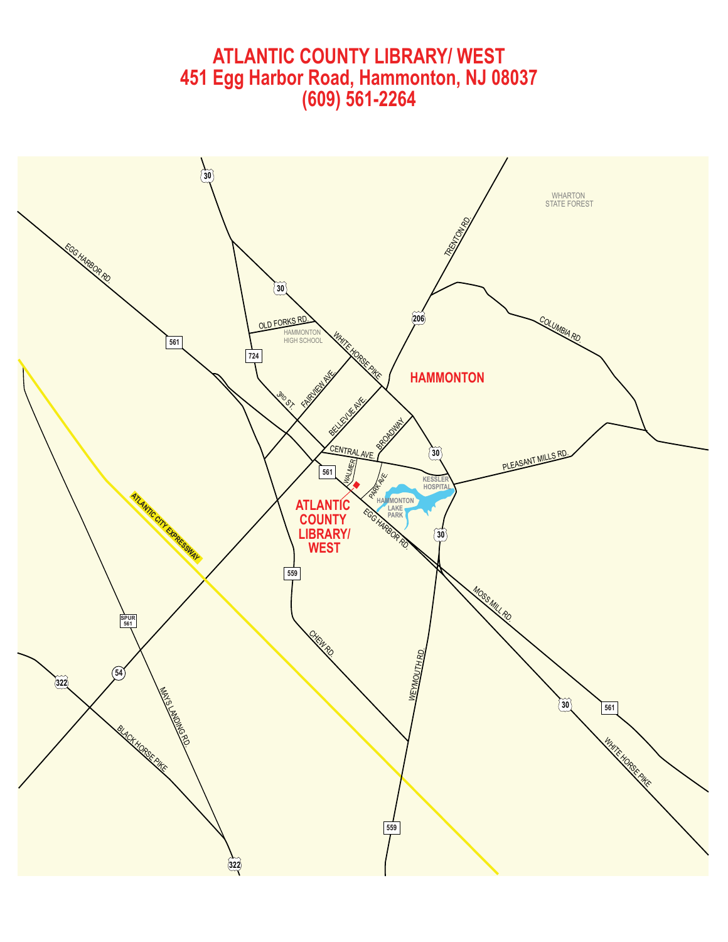# **ATLANTIC COUNTY LIBRARY/ WEST 451 Egg Harbor Road, Hammonton, NJ 08037 (609) 561-2264**